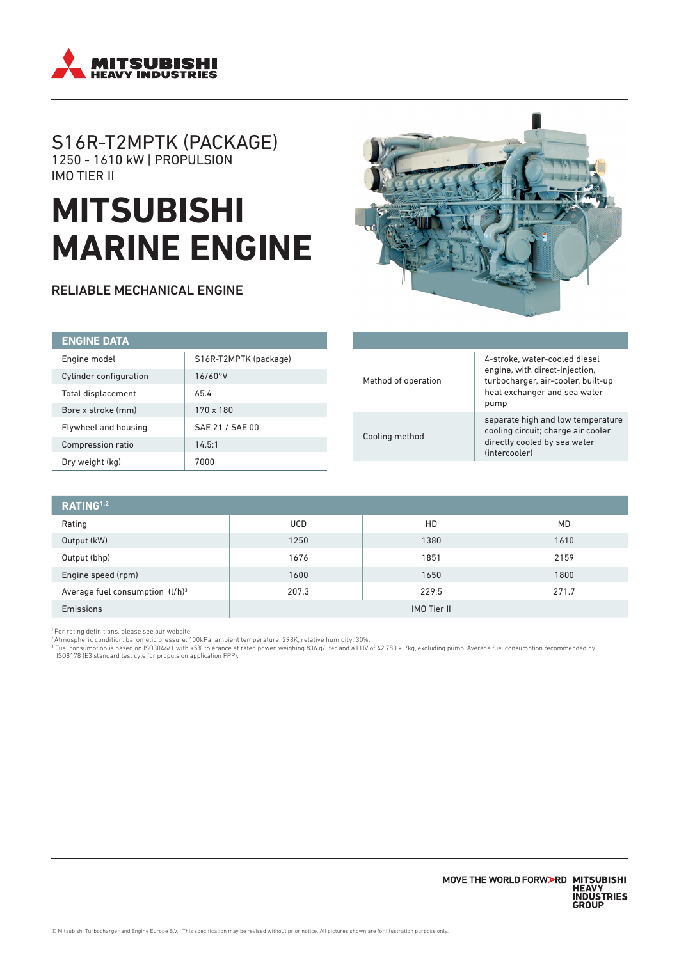

# S16R-T2MPTK (PACKAGE) 1250 - 1610 kW | PROPULSION IMO TIER II

# **MITSUBISHI MARINE ENGINE**

RELIABLE MECHANICAL ENGINE



| <b>ENGINE DATA</b>     |                       |
|------------------------|-----------------------|
| Engine model           | S16R-T2MPTK (package) |
| Cylinder configuration | 16/60°V               |
| Total displacement     | 65.4                  |
| Bore x stroke (mm)     | 170 x 180             |
| Flywheel and housing   | SAE 21 / SAE 00       |
| Compression ratio      | 14.5:1                |
| Dry weight (kg)        | 7000                  |

| Method of operation | 4-stroke, water-cooled diesel<br>engine, with direct-injection,<br>turbocharger, air-cooler, built-up<br>heat exchanger and sea water<br>pump |
|---------------------|-----------------------------------------------------------------------------------------------------------------------------------------------|
| Cooling method      | separate high and low temperature<br>cooling circuit; charge air cooler<br>directly cooled by sea water<br>(intercooler)                      |

| RATING <sup>1,2</sup>              |                    |       |           |  |
|------------------------------------|--------------------|-------|-----------|--|
| Rating                             | <b>UCD</b>         | HD    | <b>MD</b> |  |
| Output (kW)                        | 1250               | 1380  | 1610      |  |
| Output (bhp)                       | 1676               | 1851  | 2159      |  |
| Engine speed (rpm)                 | 1600               | 1650  | 1800      |  |
| Average fuel consumption $(l/h)^3$ | 207.3              | 229.5 | 271.7     |  |
| Emissions                          | <b>IMO Tier II</b> |       |           |  |

'For rating definitions, please see our website.<br><sup>2</sup> Atmospheric condition: barometic pressure: 100kPa, ambient temperature: 298K, relative humidity: 30%.<br><sup>3</sup> Fuel consumption is based on ISO3046/1 with +5% tolerance at ra